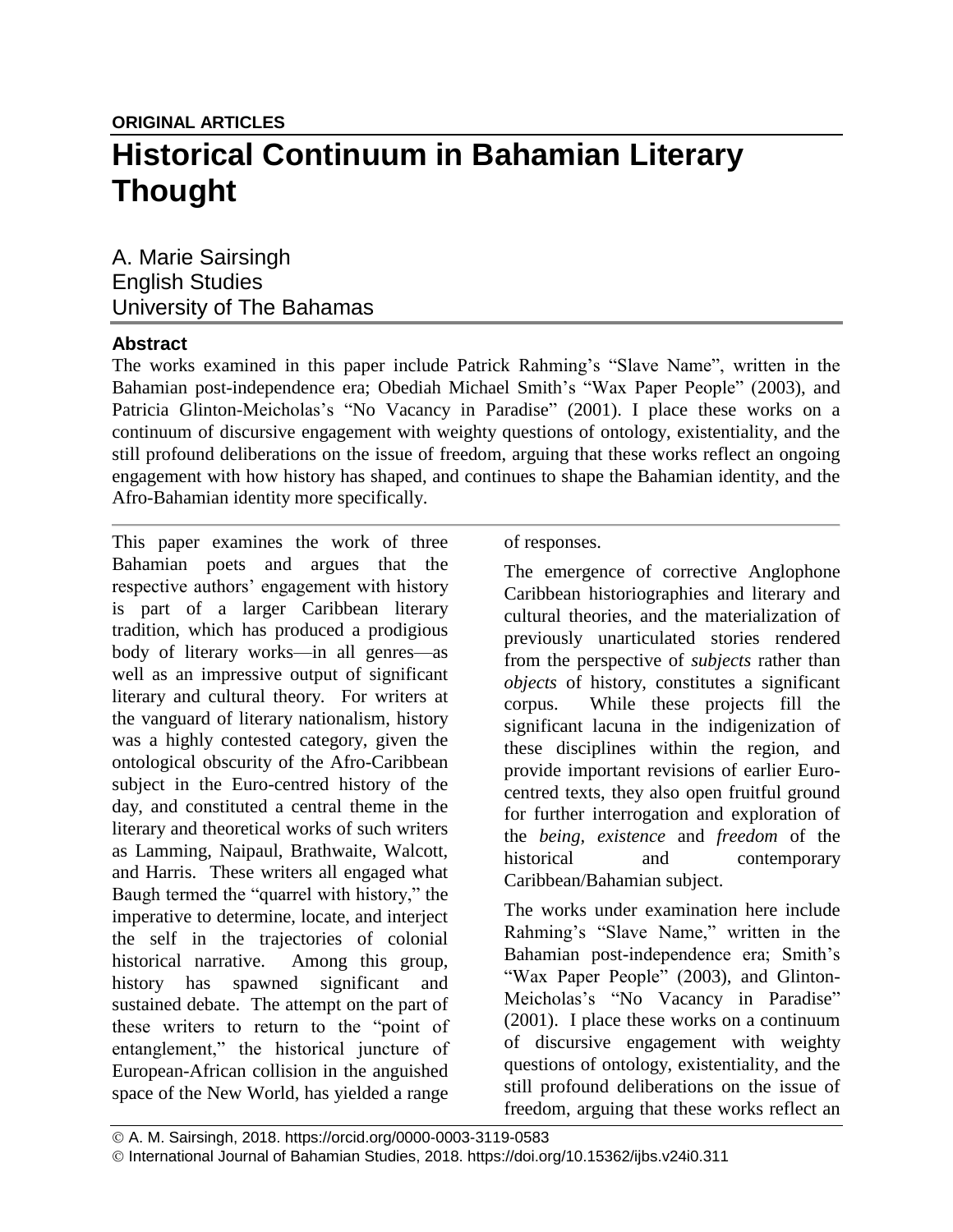A. Marie Sairsingh English Studies University of The Bahamas

## **Abstract**

The works examined in this paper include Patrick Rahming's "Slave Name", written in the Bahamian post-independence era; Obediah Michael Smith's "Wax Paper People" (2003), and Patricia Glinton-Meicholas's "No Vacancy in Paradise" (2001). I place these works on a continuum of discursive engagement with weighty questions of ontology, existentiality, and the still profound deliberations on the issue of freedom, arguing that these works reflect an ongoing engagement with how history has shaped, and continues to shape the Bahamian identity, and the Afro-Bahamian identity more specifically.

This paper examines the work of three Bahamian poets and argues that the respective authors' engagement with history is part of a larger Caribbean literary tradition, which has produced a prodigious body of literary works—in all genres—as well as an impressive output of significant literary and cultural theory. For writers at the vanguard of literary nationalism, history was a highly contested category, given the ontological obscurity of the Afro-Caribbean subject in the Euro-centred history of the day, and constituted a central theme in the literary and theoretical works of such writers as Lamming, Naipaul, Brathwaite, Walcott, and Harris. These writers all engaged what Baugh termed the "quarrel with history," the imperative to determine, locate, and interject the self in the trajectories of colonial historical narrative. Among this group, history has spawned significant and sustained debate. The attempt on the part of these writers to return to the "point of entanglement," the historical juncture of European-African collision in the anguished space of the New World, has yielded a range

of responses.

The emergence of corrective Anglophone Caribbean historiographies and literary and cultural theories, and the materialization of previously unarticulated stories rendered from the perspective of *subjects* rather than *objects* of history, constitutes a significant corpus. While these projects fill the significant lacuna in the indigenization of these disciplines within the region, and provide important revisions of earlier Eurocentred texts, they also open fruitful ground for further interrogation and exploration of the *being, existence* and *freedom* of the historical and contemporary Caribbean/Bahamian subject.

The works under examination here include Rahming's "Slave Name," written in the Bahamian post-independence era; Smith's "Wax Paper People" (2003), and Glinton-Meicholas's "No Vacancy in Paradise" (2001). I place these works on a continuum of discursive engagement with weighty questions of ontology, existentiality, and the still profound deliberations on the issue of freedom, arguing that these works reflect an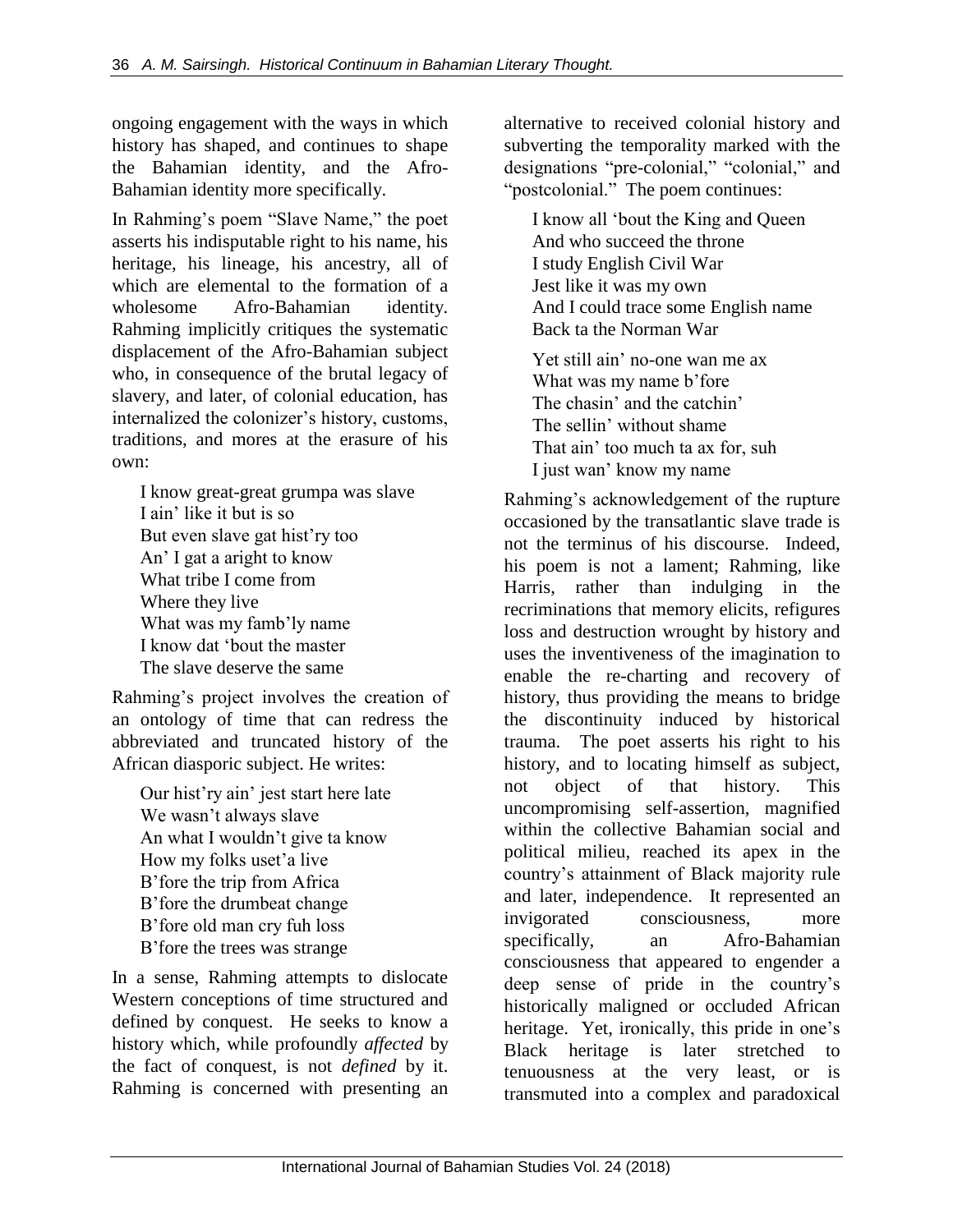ongoing engagement with the ways in which history has shaped, and continues to shape the Bahamian identity, and the Afro-Bahamian identity more specifically.

In Rahming's poem "Slave Name," the poet asserts his indisputable right to his name, his heritage, his lineage, his ancestry, all of which are elemental to the formation of a wholesome Afro-Bahamian identity. Rahming implicitly critiques the systematic displacement of the Afro-Bahamian subject who, in consequence of the brutal legacy of slavery, and later, of colonial education, has internalized the colonizer's history, customs, traditions, and mores at the erasure of his own:

I know great-great grumpa was slave I ain' like it but is so But even slave gat hist'ry too An' I gat a aright to know What tribe I come from Where they live What was my famb'ly name I know dat 'bout the master The slave deserve the same

Rahming's project involves the creation of an ontology of time that can redress the abbreviated and truncated history of the African diasporic subject. He writes:

Our hist'ry ain' jest start here late We wasn't always slave An what I wouldn't give ta know How my folks uset'a live B'fore the trip from Africa B'fore the drumbeat change B'fore old man cry fuh loss B'fore the trees was strange

In a sense, Rahming attempts to dislocate Western conceptions of time structured and defined by conquest. He seeks to know a history which, while profoundly *affected* by the fact of conquest, is not *defined* by it. Rahming is concerned with presenting an alternative to received colonial history and subverting the temporality marked with the designations "pre-colonial," "colonial," and "postcolonial." The poem continues:

I know all 'bout the King and Queen And who succeed the throne I study English Civil War Jest like it was my own And I could trace some English name Back ta the Norman War

Yet still ain' no-one wan me ax What was my name b'fore The chasin' and the catchin' The sellin' without shame That ain' too much ta ax for, suh I just wan' know my name

Rahming's acknowledgement of the rupture occasioned by the transatlantic slave trade is not the terminus of his discourse. Indeed, his poem is not a lament; Rahming, like Harris, rather than indulging in the recriminations that memory elicits, refigures loss and destruction wrought by history and uses the inventiveness of the imagination to enable the re-charting and recovery of history, thus providing the means to bridge the discontinuity induced by historical trauma. The poet asserts his right to his history, and to locating himself as subject, not object of that history. This uncompromising self-assertion, magnified within the collective Bahamian social and political milieu, reached its apex in the country's attainment of Black majority rule and later, independence. It represented an invigorated consciousness, more specifically, an Afro-Bahamian consciousness that appeared to engender a deep sense of pride in the country's historically maligned or occluded African heritage. Yet, ironically, this pride in one's Black heritage is later stretched to tenuousness at the very least, or is transmuted into a complex and paradoxical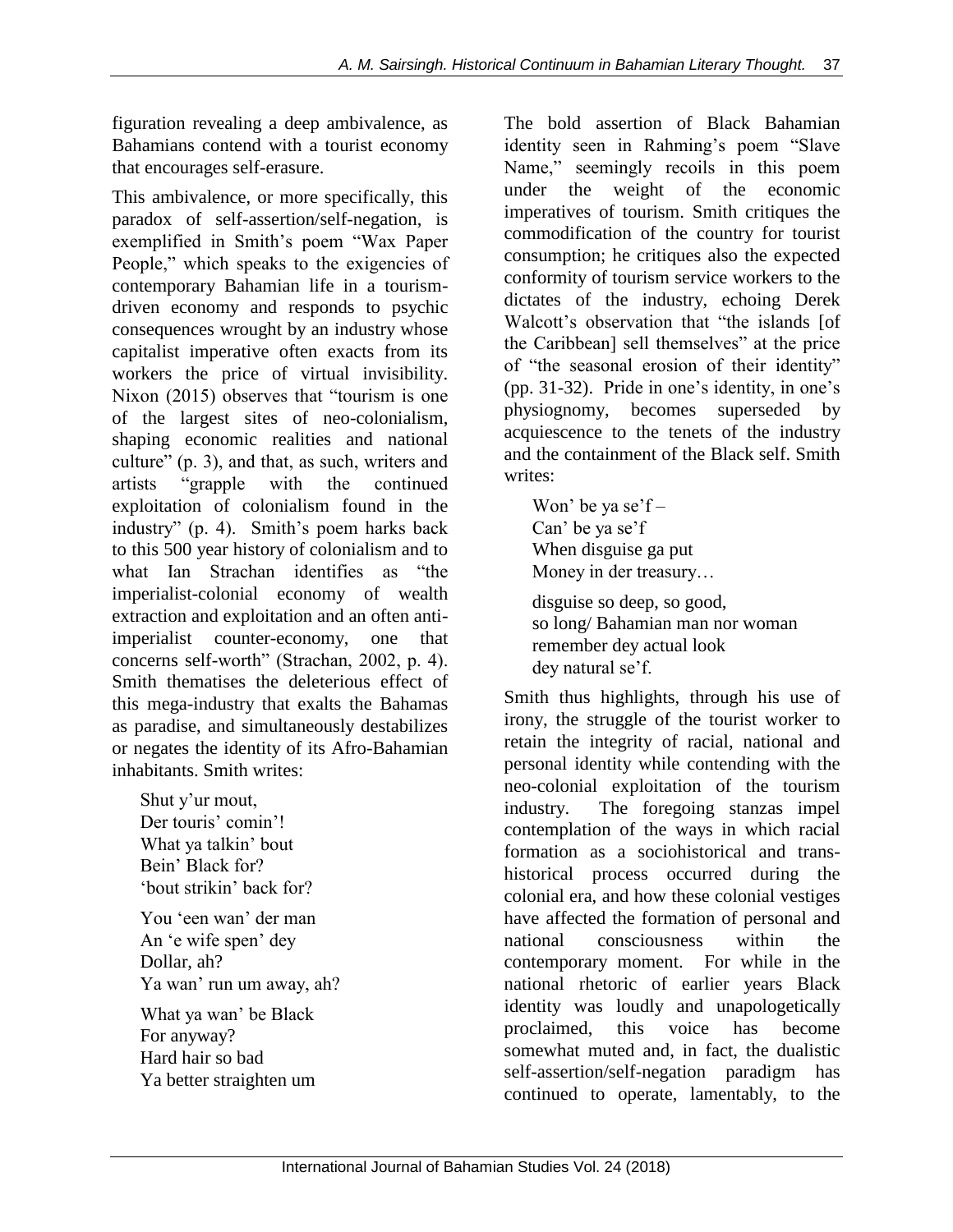figuration revealing a deep ambivalence, as Bahamians contend with a tourist economy that encourages self-erasure.

This ambivalence, or more specifically, this paradox of self-assertion/self-negation, is exemplified in Smith's poem "Wax Paper People," which speaks to the exigencies of contemporary Bahamian life in a tourismdriven economy and responds to psychic consequences wrought by an industry whose capitalist imperative often exacts from its workers the price of virtual invisibility. Nixon (2015) observes that "tourism is one of the largest sites of neo-colonialism, shaping economic realities and national culture" (p. 3), and that, as such, writers and artists "grapple with the continued exploitation of colonialism found in the industry" (p. 4). Smith's poem harks back to this 500 year history of colonialism and to what Ian Strachan identifies as "the imperialist-colonial economy of wealth extraction and exploitation and an often antiimperialist counter-economy, one that concerns self-worth" (Strachan, 2002, p. 4). Smith thematises the deleterious effect of this mega-industry that exalts the Bahamas as paradise, and simultaneously destabilizes or negates the identity of its Afro-Bahamian inhabitants. Smith writes:

Shut y'ur mout, Der touris' comin'! What ya talkin' bout Bein' Black for? 'bout strikin' back for? You 'een wan' der man An 'e wife spen' dey Dollar, ah? Ya wan' run um away, ah? What ya wan' be Black For anyway? Hard hair so bad Ya better straighten um

The bold assertion of Black Bahamian identity seen in Rahming's poem "Slave Name," seemingly recoils in this poem under the weight of the economic imperatives of tourism. Smith critiques the commodification of the country for tourist consumption; he critiques also the expected conformity of tourism service workers to the dictates of the industry, echoing Derek Walcott's observation that "the islands [of the Caribbean] sell themselves" at the price of "the seasonal erosion of their identity" (pp. 31-32). Pride in one's identity, in one's physiognomy, becomes superseded by acquiescence to the tenets of the industry and the containment of the Black self. Smith writes:

Won' be ya se'f – Can' be ya se'f When disguise ga put Money in der treasury… disguise so deep, so good, so long/ Bahamian man nor woman remember dey actual look dey natural se'f.

Smith thus highlights, through his use of irony, the struggle of the tourist worker to retain the integrity of racial, national and personal identity while contending with the neo-colonial exploitation of the tourism industry. The foregoing stanzas impel contemplation of the ways in which racial formation as a sociohistorical and transhistorical process occurred during the colonial era, and how these colonial vestiges have affected the formation of personal and national consciousness within the contemporary moment. For while in the national rhetoric of earlier years Black identity was loudly and unapologetically proclaimed, this voice has become somewhat muted and, in fact, the dualistic self-assertion/self-negation paradigm has continued to operate, lamentably, to the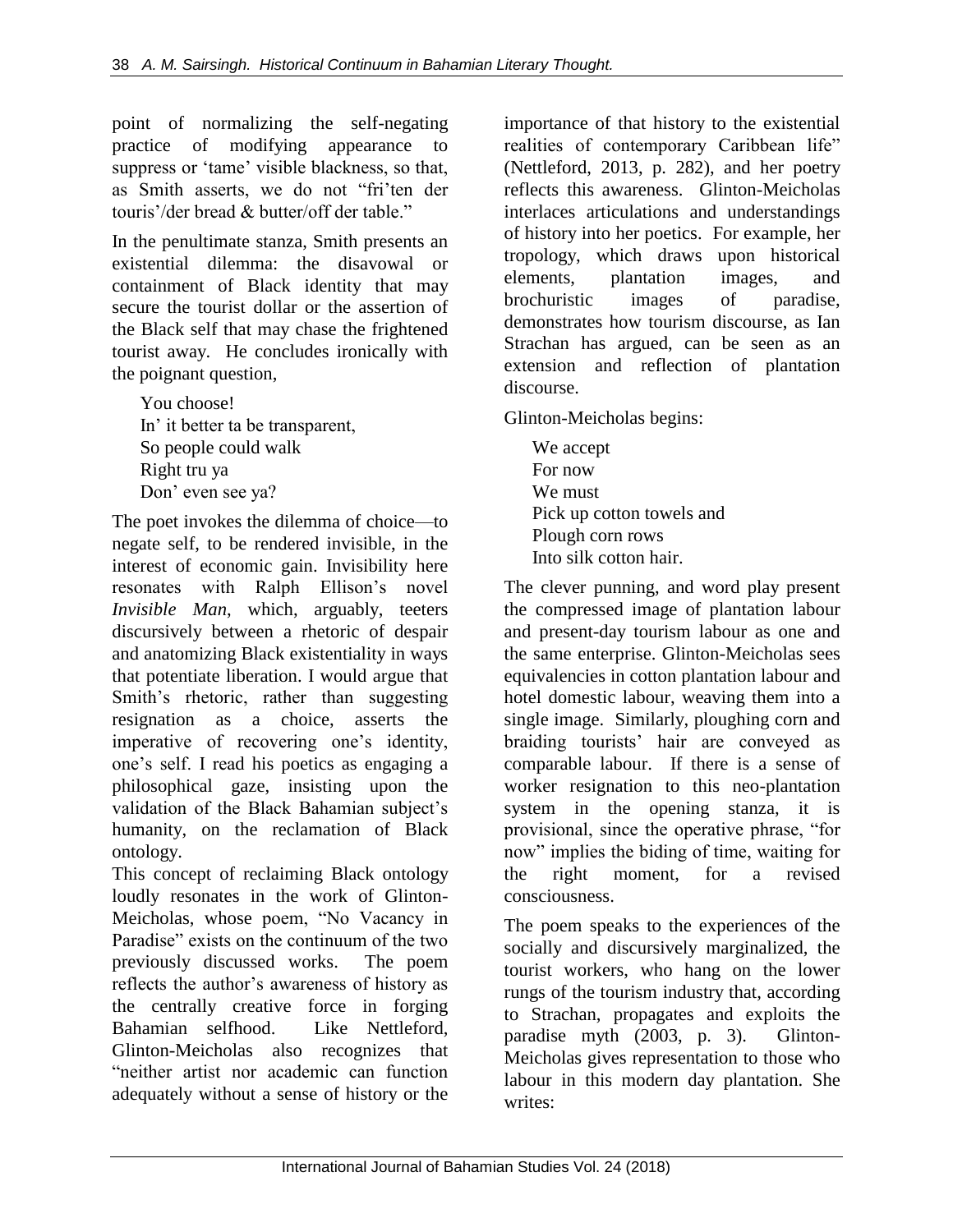point of normalizing the self-negating practice of modifying appearance to suppress or 'tame' visible blackness, so that, as Smith asserts, we do not "fri'ten der touris'/der bread & butter/off der table."

In the penultimate stanza, Smith presents an existential dilemma: the disavowal or containment of Black identity that may secure the tourist dollar or the assertion of the Black self that may chase the frightened tourist away. He concludes ironically with the poignant question,

You choose! In' it better ta be transparent, So people could walk Right tru ya Don' even see ya?

The poet invokes the dilemma of choice—to negate self, to be rendered invisible, in the interest of economic gain. Invisibility here resonates with Ralph Ellison's novel *Invisible Man*, which, arguably, teeters discursively between a rhetoric of despair and anatomizing Black existentiality in ways that potentiate liberation. I would argue that Smith's rhetoric, rather than suggesting resignation as a choice, asserts the imperative of recovering one's identity, one's self. I read his poetics as engaging a philosophical gaze, insisting upon the validation of the Black Bahamian subject's humanity, on the reclamation of Black ontology.

This concept of reclaiming Black ontology loudly resonates in the work of Glinton-Meicholas, whose poem, "No Vacancy in Paradise" exists on the continuum of the two previously discussed works. The poem reflects the author's awareness of history as the centrally creative force in forging Bahamian selfhood. Like Nettleford, Glinton-Meicholas also recognizes that "neither artist nor academic can function adequately without a sense of history or the

importance of that history to the existential realities of contemporary Caribbean life" (Nettleford, 2013, p. 282), and her poetry reflects this awareness. Glinton-Meicholas interlaces articulations and understandings of history into her poetics. For example, her tropology, which draws upon historical elements, plantation images, and brochuristic images of paradise, demonstrates how tourism discourse, as Ian Strachan has argued, can be seen as an extension and reflection of plantation discourse.

Glinton-Meicholas begins:

We accept For now We must Pick up cotton towels and Plough corn rows Into silk cotton hair.

The clever punning, and word play present the compressed image of plantation labour and present-day tourism labour as one and the same enterprise. Glinton-Meicholas sees equivalencies in cotton plantation labour and hotel domestic labour, weaving them into a single image. Similarly, ploughing corn and braiding tourists' hair are conveyed as comparable labour. If there is a sense of worker resignation to this neo-plantation system in the opening stanza, it is provisional, since the operative phrase, "for now" implies the biding of time, waiting for the right moment, for a revised consciousness.

The poem speaks to the experiences of the socially and discursively marginalized, the tourist workers, who hang on the lower rungs of the tourism industry that, according to Strachan, propagates and exploits the paradise myth (2003, p. 3). Glinton-Meicholas gives representation to those who labour in this modern day plantation. She writes: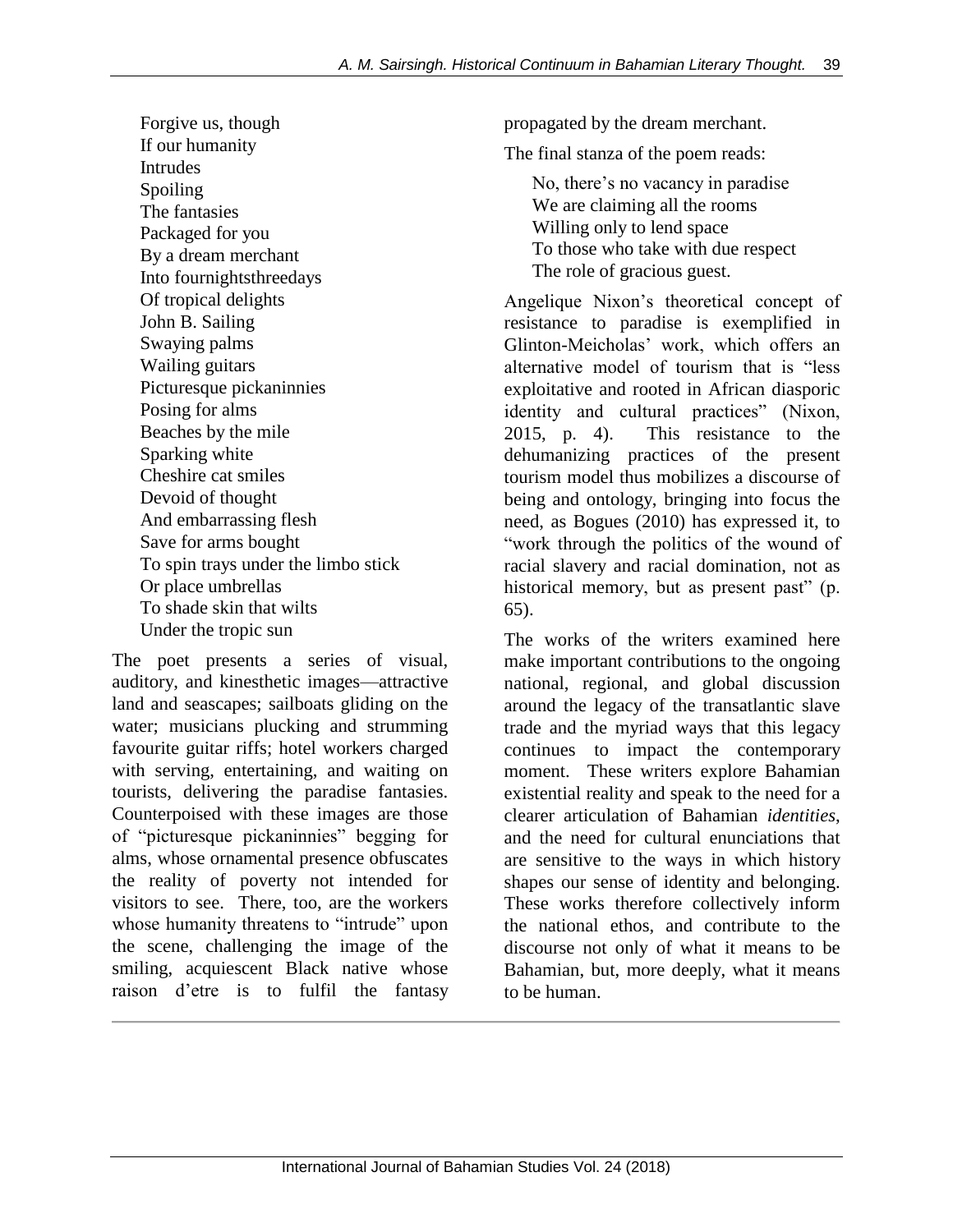Forgive us, though If our humanity Intrudes Spoiling The fantasies Packaged for you By a dream merchant Into fournightsthreedays Of tropical delights John B. Sailing Swaying palms Wailing guitars Picturesque pickaninnies Posing for alms Beaches by the mile Sparking white Cheshire cat smiles Devoid of thought And embarrassing flesh Save for arms bought To spin trays under the limbo stick Or place umbrellas To shade skin that wilts Under the tropic sun

The poet presents a series of visual, auditory, and kinesthetic images—attractive land and seascapes; sailboats gliding on the water; musicians plucking and strumming favourite guitar riffs; hotel workers charged with serving, entertaining, and waiting on tourists, delivering the paradise fantasies. Counterpoised with these images are those of "picturesque pickaninnies" begging for alms, whose ornamental presence obfuscates the reality of poverty not intended for visitors to see. There, too, are the workers whose humanity threatens to "intrude" upon the scene, challenging the image of the smiling, acquiescent Black native whose raison d'etre is to fulfil the fantasy

propagated by the dream merchant.

The final stanza of the poem reads:

No, there's no vacancy in paradise We are claiming all the rooms Willing only to lend space To those who take with due respect The role of gracious guest.

Angelique Nixon's theoretical concept of resistance to paradise is exemplified in Glinton-Meicholas' work, which offers an alternative model of tourism that is "less exploitative and rooted in African diasporic identity and cultural practices" (Nixon, 2015, p. 4). This resistance to the dehumanizing practices of the present tourism model thus mobilizes a discourse of being and ontology, bringing into focus the need, as Bogues (2010) has expressed it, to "work through the politics of the wound of racial slavery and racial domination, not as historical memory, but as present past" (p. 65).

The works of the writers examined here make important contributions to the ongoing national, regional, and global discussion around the legacy of the transatlantic slave trade and the myriad ways that this legacy continues to impact the contemporary moment. These writers explore Bahamian existential reality and speak to the need for a clearer articulation of Bahamian *identities*, and the need for cultural enunciations that are sensitive to the ways in which history shapes our sense of identity and belonging. These works therefore collectively inform the national ethos, and contribute to the discourse not only of what it means to be Bahamian, but, more deeply, what it means to be human.